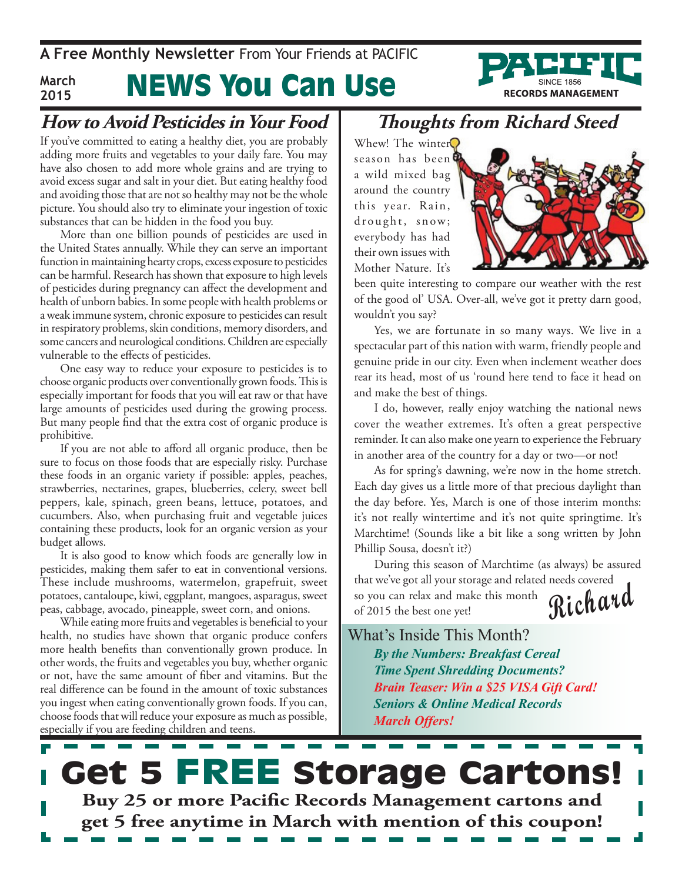**A Free Monthly Newsletter** From Your Friends at Pacific



#### News You Can Use **March 2015**

#### **How to Avoid Pesticides in Your Food**

If you've committed to eating a healthy diet, you are probably adding more fruits and vegetables to your daily fare. You may have also chosen to add more whole grains and are trying to avoid excess sugar and salt in your diet. But eating healthy food and avoiding those that are not so healthy may not be the whole picture. You should also try to eliminate your ingestion of toxic substances that can be hidden in the food you buy.

More than one billion pounds of pesticides are used in the United States annually. While they can serve an important function in maintaining hearty crops, excess exposure to pesticides can be harmful. Research has shown that exposure to high levels of pesticides during pregnancy can affect the development and health of unborn babies. In some people with health problems or a weak immune system, chronic exposure to pesticides can result in respiratory problems, skin conditions, memory disorders, and some cancers and neurological conditions. Children are especially vulnerable to the effects of pesticides.

One easy way to reduce your exposure to pesticides is to choose organic products over conventionally grown foods. This is especially important for foods that you will eat raw or that have large amounts of pesticides used during the growing process. But many people find that the extra cost of organic produce is prohibitive.

If you are not able to afford all organic produce, then be sure to focus on those foods that are especially risky. Purchase these foods in an organic variety if possible: apples, peaches, strawberries, nectarines, grapes, blueberries, celery, sweet bell peppers, kale, spinach, green beans, lettuce, potatoes, and cucumbers. Also, when purchasing fruit and vegetable juices containing these products, look for an organic version as your budget allows.

It is also good to know which foods are generally low in pesticides, making them safer to eat in conventional versions. These include mushrooms, watermelon, grapefruit, sweet potatoes, cantaloupe, kiwi, eggplant, mangoes, asparagus, sweet peas, cabbage, avocado, pineapple, sweet corn, and onions.

While eating more fruits and vegetables is beneficial to your health, no studies have shown that organic produce confers more health benefits than conventionally grown produce. In other words, the fruits and vegetables you buy, whether organic or not, have the same amount of fiber and vitamins. But the real difference can be found in the amount of toxic substances you ingest when eating conventionally grown foods. If you can, choose foods that will reduce your exposure as much as possible, especially if you are feeding children and teens.

### **Thoughts from Richard Steed**

Whew! The winter season has been a wild mixed bag around the country this year. Rain, drought, snow; everybody has had their own issues with Mother Nature. It's



been quite interesting to compare our weather with the rest of the good ol' USA. Over-all, we've got it pretty darn good, wouldn't you say?

Yes, we are fortunate in so many ways. We live in a spectacular part of this nation with warm, friendly people and genuine pride in our city. Even when inclement weather does rear its head, most of us 'round here tend to face it head on and make the best of things.

I do, however, really enjoy watching the national news cover the weather extremes. It's often a great perspective reminder. It can also make one yearn to experience the February in another area of the country for a day or two—or not!

As for spring's dawning, we're now in the home stretch. Each day gives us a little more of that precious daylight than the day before. Yes, March is one of those interim months: it's not really wintertime and it's not quite springtime. It's Marchtime! (Sounds like a bit like a song written by John Phillip Sousa, doesn't it?)

**Richard** During this season of Marchtime (as always) be assured that we've got all your storage and related needs covered so you can relax and make this month of 2015 the best one yet!

What's Inside This Month?

*By the Numbers: Breakfast Cereal Time Spent Shredding Documents? Brain Teaser: Win a \$25 VISA Gift Card! Seniors & Online Medical Records March Offers!*

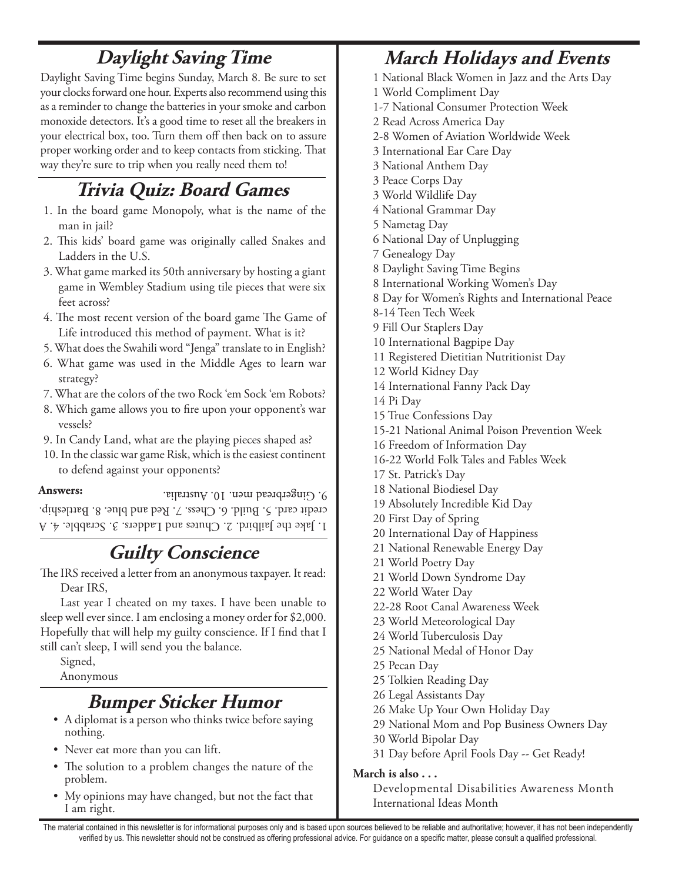## **Daylight Saving Time**

Daylight Saving Time begins Sunday, March 8. Be sure to set your clocks forward one hour. Experts also recommend using this as a reminder to change the batteries in your smoke and carbon monoxide detectors. It's a good time to reset all the breakers in your electrical box, too. Turn them off then back on to assure proper working order and to keep contacts from sticking. That way they're sure to trip when you really need them to!

## **Trivia Quiz: Board Games**

- 1. In the board game Monopoly, what is the name of the man in jail?
- 2. This kids' board game was originally called Snakes and Ladders in the U.S.
- 3. What game marked its 50th anniversary by hosting a giant game in Wembley Stadium using tile pieces that were six feet across?
- 4. The most recent version of the board game The Game of Life introduced this method of payment. What is it?
- 5. What does the Swahili word "Jenga" translate to in English?
- 6. What game was used in the Middle Ages to learn war strategy?
- 7. What are the colors of the two Rock 'em Sock 'em Robots?
- 8. Which game allows you to fire upon your opponent's war vessels?
- 9. In Candy Land, what are the playing pieces shaped as?

10. In the classic war game Risk, which is the easiest continent to defend against your opponents?

#### **Answers:**

1. Jake the Jailbird. 2. Chutes and Ladders. 3. Scrabble. 4. A credit card. 5. Build. 6. Chess. 7. Red and blue. 8. Battleship. 9. Gingerbread men. 10. Australia.

## **Guilty Conscience**

The IRS received a letter from an anonymous taxpayer. It read: Dear IRS,

Last year I cheated on my taxes. I have been unable to sleep well ever since. I am enclosing a money order for \$2,000. Hopefully that will help my guilty conscience. If I find that I still can't sleep, I will send you the balance.

Signed,

### Anonymous

## **Bumper Sticker Humor**

- A diplomat is a person who thinks twice before saying nothing.
- Never eat more than you can lift.
- The solution to a problem changes the nature of the problem.
- My opinions may have changed, but not the fact that I am right.

## **March Holidays and Events**

- 1 National Black Women in Jazz and the Arts Day
- 1 World Compliment Day
- 1-7 National Consumer Protection Week
- 2 Read Across America Day
- 2-8 Women of Aviation Worldwide Week
- 3 International Ear Care Day
- 3 National Anthem Day
- 3 Peace Corps Day
- 3 World Wildlife Day
- 4 National Grammar Day
- 5 Nametag Day
- 6 National Day of Unplugging
- 7 Genealogy Day
- 8 Daylight Saving Time Begins
- 8 International Working Women's Day
- 8 Day for Women's Rights and International Peace
- 8-14 Teen Tech Week
- 9 Fill Our Staplers Day
- 10 International Bagpipe Day
- 11 Registered Dietitian Nutritionist Day
- 12 World Kidney Day
- 14 International Fanny Pack Day
- 14 Pi Day
- 15 True Confessions Day
- 15-21 National Animal Poison Prevention Week
- 16 Freedom of Information Day
- 16-22 World Folk Tales and Fables Week
- 17 St. Patrick's Day
- 18 National Biodiesel Day
- 19 Absolutely Incredible Kid Day
- 20 First Day of Spring
- 20 International Day of Happiness
- 21 National Renewable Energy Day
- 21 World Poetry Day
- 21 World Down Syndrome Day
- 22 World Water Day
- 22-28 Root Canal Awareness Week
- 23 World Meteorological Day
- 24 World Tuberculosis Day
- 25 National Medal of Honor Day
- 25 Pecan Day
- 25 Tolkien Reading Day
- 26 Legal Assistants Day
- 26 Make Up Your Own Holiday Day
- 29 National Mom and Pop Business Owners Day
- 30 World Bipolar Day
- 31 Day before April Fools Day -- Get Ready!

#### **March is also . . .**

Developmental Disabilities Awareness Month International Ideas Month

The material contained in this newsletter is for informational purposes only and is based upon sources believed to be reliable and authoritative; however, it has not been independently verified by us. This newsletter should not be construed as offering professional advice. For guidance on a specific matter, please consult a qualified professional.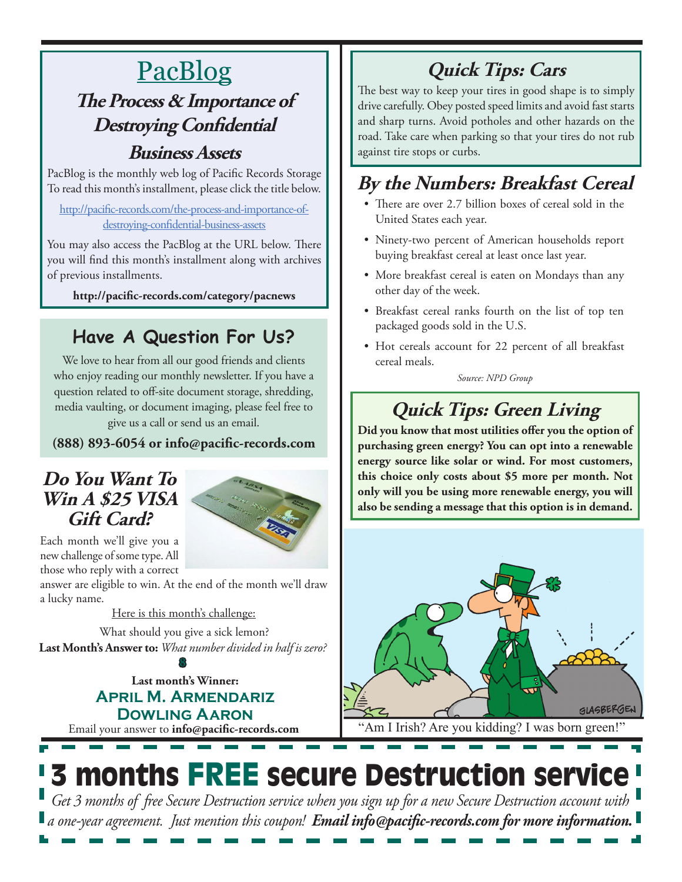# **PacBlog**

## **The Process & Importance of Destroying Confidential Business Assets**

PacBlog is the monthly web log of Pacific Records Storage To read this month's installment, please click the title below.

[http://pacific-records.com/the-process-and-importance-of](http://pacific-records.com/the-process-and-importance-of-destroying-confidential-business-assets)[destroying-confidential-business-assets](http://pacific-records.com/the-process-and-importance-of-destroying-confidential-business-assets)

You may also access the PacBlog at the URL below. There you will find this month's installment along with archives of previous installments.

**http://pacific-records.com/category/pacnews**

## **Have A Question For Us?**

We love to hear from all our good friends and clients who enjoy reading our monthly newsletter. If you have a question related to off-site document storage, shredding, media vaulting, or document imaging, please feel free to give us a call or send us an email.

**(888) 893-6054 or info@pacific-records.com**

### **Do You Want To Win A \$25 VISA Gift Card?**



Each month we'll give you a new challenge of some type. All those who reply with a correct

answer are eligible to win. At the end of the month we'll draw a lucky name.

Here is this month's challenge:

What should you give a sick lemon? **Last Month's Answer to:** *What number divided in half is zero?*

Email your answer to **info@pacific-records.com Last month's Winner: April M. Armendariz Dowling Aaron 8**

# **Quick Tips: Cars**

The best way to keep your tires in good shape is to simply drive carefully. Obey posted speed limits and avoid fast starts and sharp turns. Avoid potholes and other hazards on the road. Take care when parking so that your tires do not rub against tire stops or curbs.

## **By the Numbers: Breakfast Cereal**

- There are over 2.7 billion boxes of cereal sold in the United States each year.
- Ninety-two percent of American households report buying breakfast cereal at least once last year.
- More breakfast cereal is eaten on Mondays than any other day of the week.
- • Breakfast cereal ranks fourth on the list of top ten packaged goods sold in the U.S.
- • Hot cereals account for 22 percent of all breakfast cereal meals.

*Source: NPD Group*

# **Quick Tips: Green Living**

**Did you know that most utilities offer you the option of purchasing green energy? You can opt into a renewable energy source like solar or wind. For most customers, this choice only costs about \$5 more per month. Not only will you be using more renewable energy, you will also be sending a message that this option is in demand.**



"Am I Irish? Are you kidding? I was born green!"

# 3 months FREE secure Destruction service

*Get 3 months of free Secure Destruction service when you sign up for a new Secure Destruction account with a one-year agreement. Just mention this coupon! Email info@pacific-records.com for more information.*